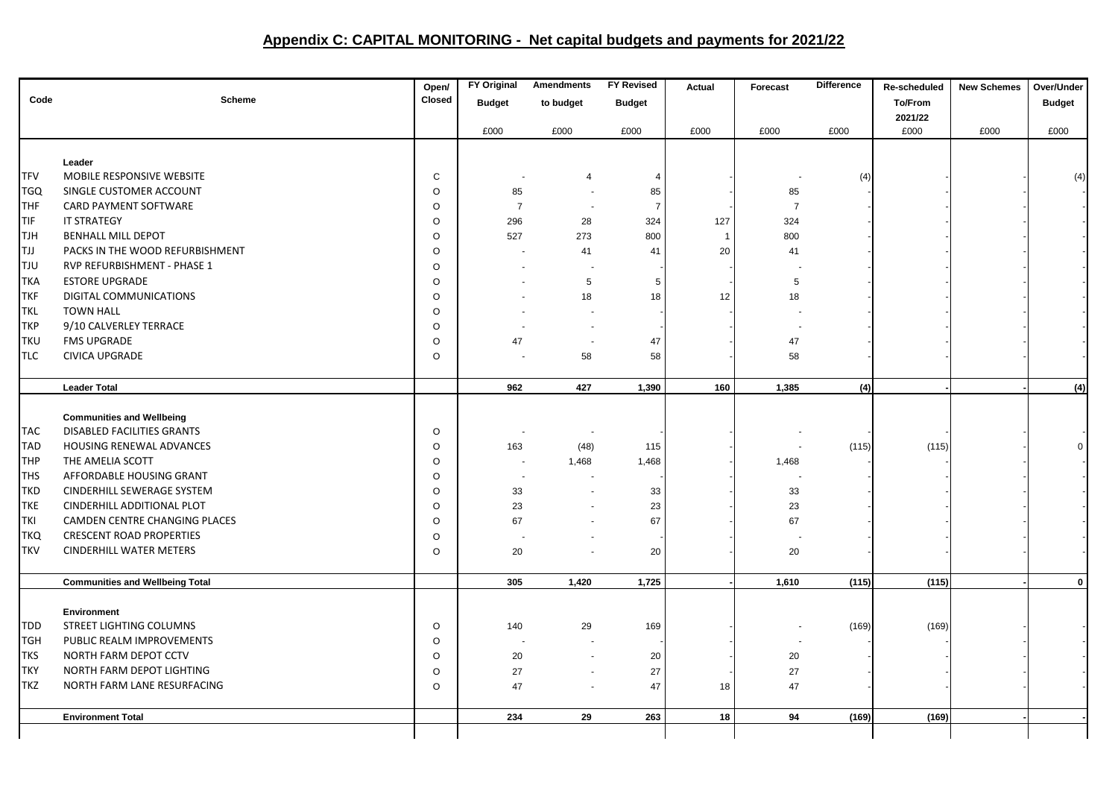## **Appendix C: CAPITAL MONITORING - Net capital budgets and payments for 2021/22**

|            |                                        | Open/         | <b>FY Original</b>       | <b>Amendments</b> | <b>FY Revised</b> | <b>Actual</b> | Forecast       | <b>Difference</b> | Re-scheduled   | <b>New Schemes</b> | Over/Under    |
|------------|----------------------------------------|---------------|--------------------------|-------------------|-------------------|---------------|----------------|-------------------|----------------|--------------------|---------------|
| Code       | <b>Scheme</b>                          | <b>Closed</b> | <b>Budget</b>            | to budget         | <b>Budget</b>     |               |                |                   | <b>To/From</b> |                    | <b>Budget</b> |
|            |                                        |               |                          |                   |                   |               |                |                   | 2021/22        |                    |               |
|            |                                        |               | £000                     | £000              | £000              | £000          | £000           | £000              | £000           | £000               | £000          |
|            |                                        |               |                          |                   |                   |               |                |                   |                |                    |               |
|            | Leader                                 |               |                          |                   |                   |               |                |                   |                |                    |               |
| <b>TFV</b> | MOBILE RESPONSIVE WEBSITE              | C             |                          | $\overline{4}$    | $\overline{4}$    |               |                | (4)               |                |                    | (4)           |
| <b>TGQ</b> | SINGLE CUSTOMER ACCOUNT                | $\circ$       | 85                       |                   | 85                |               | 85             |                   |                |                    |               |
| <b>THF</b> | CARD PAYMENT SOFTWARE                  | $\circ$       | $\overline{7}$           | $\blacksquare$    | $\overline{7}$    |               | $\overline{7}$ |                   |                |                    |               |
| <b>TIF</b> | IT STRATEGY                            | $\circ$       | 296                      | 28                | 324               | 127           | 324            |                   |                |                    |               |
| <b>TJH</b> | <b>BENHALL MILL DEPOT</b>              | $\circ$       | 527                      | 273               | 800               | $\mathbf{1}$  | 800            |                   |                |                    |               |
| <b>TJJ</b> | PACKS IN THE WOOD REFURBISHMENT        | $\circ$       |                          | 41                | 41                | 20            | 41             |                   |                |                    |               |
| <b>TJU</b> | RVP REFURBISHMENT - PHASE 1            | $\circ$       |                          |                   |                   |               |                |                   |                |                    |               |
| <b>TKA</b> | <b>ESTORE UPGRADE</b>                  | $\circ$       |                          | 5                 | $\overline{5}$    |               | 5              |                   |                |                    |               |
| <b>TKF</b> | DIGITAL COMMUNICATIONS                 | $\circ$       |                          | 18                | 18                | 12            | 18             |                   |                |                    |               |
| <b>TKL</b> | <b>TOWN HALL</b>                       | $\circ$       |                          |                   |                   |               |                |                   |                |                    |               |
| <b>TKP</b> | 9/10 CALVERLEY TERRACE                 | $\circ$       |                          |                   |                   |               |                |                   |                |                    |               |
| <b>TKU</b> | <b>FMS UPGRADE</b>                     | $\circ$       | 47                       | $\blacksquare$    | 47                |               | 47             |                   |                |                    |               |
| <b>TLC</b> | <b>CIVICA UPGRADE</b>                  | $\circ$       |                          | 58                | 58                |               | 58             |                   |                |                    |               |
|            |                                        |               |                          |                   |                   |               |                |                   |                |                    |               |
|            | <b>Leader Total</b>                    |               | 962                      | 427               | 1,390             | 160           | 1,385          | (4)               |                |                    | (4)           |
|            | <b>Communities and Wellbeing</b>       |               |                          |                   |                   |               |                |                   |                |                    |               |
| <b>TAC</b> | DISABLED FACILITIES GRANTS             | $\circ$       |                          |                   |                   |               |                |                   |                |                    |               |
| <b>TAD</b> | HOUSING RENEWAL ADVANCES               | $\circ$       | 163                      | (48)              | 115               |               |                | (115)             | (115)          |                    | $\mathbf 0$   |
| <b>THP</b> | THE AMELIA SCOTT                       | $\circ$       | $\overline{\phantom{a}}$ | 1,468             | 1,468             |               | 1,468          |                   |                |                    |               |
| <b>THS</b> | AFFORDABLE HOUSING GRANT               | $\circ$       |                          |                   |                   |               |                |                   |                |                    |               |
| <b>TKD</b> | CINDERHILL SEWERAGE SYSTEM             | $\circ$       | 33                       |                   | 33                |               | 33             |                   |                |                    |               |
| <b>TKE</b> | CINDERHILL ADDITIONAL PLOT             | $\circ$       | 23                       |                   | 23                |               | 23             |                   |                |                    |               |
| <b>TKI</b> | CAMDEN CENTRE CHANGING PLACES          | $\circ$       | 67                       |                   | 67                |               | 67             |                   |                |                    |               |
| <b>TKQ</b> | <b>CRESCENT ROAD PROPERTIES</b>        | $\circ$       |                          |                   |                   |               |                |                   |                |                    |               |
| <b>TKV</b> | <b>CINDERHILL WATER METERS</b>         | $\circ$       | 20                       |                   | 20                |               | 20             |                   |                |                    |               |
|            |                                        |               |                          |                   |                   |               |                |                   |                |                    |               |
|            | <b>Communities and Wellbeing Total</b> |               | 305                      | 1,420             | 1,725             |               | 1,610          | (115)             | (115)          |                    | $\mathbf 0$   |
|            |                                        |               |                          |                   |                   |               |                |                   |                |                    |               |
|            | Environment                            |               |                          |                   |                   |               |                |                   |                |                    |               |
| <b>TDD</b> | STREET LIGHTING COLUMNS                | $\circ$       | 140                      | 29                | 169               |               |                | (169)             | (169)          |                    |               |
| <b>TGH</b> | PUBLIC REALM IMPROVEMENTS              | $\circ$       | $\overline{\phantom{a}}$ |                   |                   |               |                |                   |                |                    |               |
| <b>TKS</b> | NORTH FARM DEPOT CCTV                  | $\circ$       | 20                       |                   | 20                |               | 20             |                   |                |                    |               |
| <b>TKY</b> | NORTH FARM DEPOT LIGHTING              | $\circ$       | 27                       |                   | 27                |               | 27             |                   |                |                    |               |
| <b>TKZ</b> | NORTH FARM LANE RESURFACING            | $\circ$       | 47                       |                   | 47                | 18            | 47             |                   |                |                    |               |
|            |                                        |               |                          |                   |                   |               |                |                   |                |                    |               |
|            | <b>Environment Total</b>               |               | 234                      | 29                | 263               | 18            | 94             | (169)             | (169)          |                    |               |
|            |                                        |               |                          |                   |                   |               |                |                   |                |                    |               |